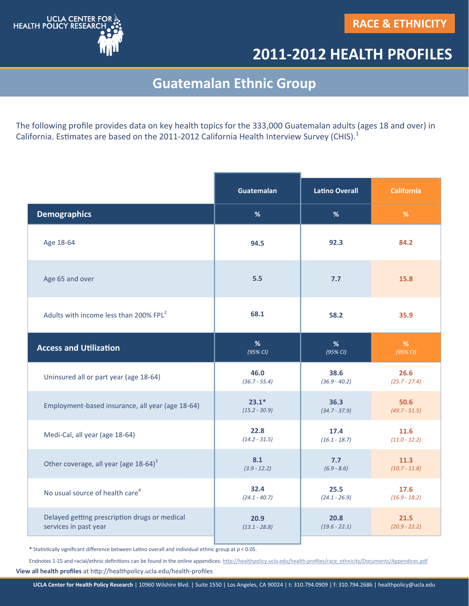

## **2011-2012 HEALTH PROFILES**

## **Guatemalan Ethnic Group**

The following profile provides data on key health topics for the 333,000 Guatemalan adults (ages 18 and over) in California. Estimates are based on the 2011-2012 California Health Interview Survey (CHIS).<sup>1</sup>

|                                                    | <b>Guatemalan</b> | <b>Latino Overall</b> | <b>California</b> |
|----------------------------------------------------|-------------------|-----------------------|-------------------|
| <b>Demographics</b>                                | %                 | %                     | %                 |
| Age 18-64                                          | 94.5              | 92.3                  | 84.2              |
| Age 65 and over                                    | 5.5               | 7.7                   | 15.8              |
| Adults with income less than 200% FPL <sup>2</sup> | 68.1              | 58.2                  | 35.9              |
| <b>Access and Utilization</b>                      | %                 | %                     | %                 |
|                                                    | (95% CI)          | (95% CI)              | (95% CI)          |
| Uninsured all or part year (age 18-64)             | 46.0              | 38.6                  | 26.6              |
|                                                    | $(36.7 - 55.4)$   | $(36.9 - 40.2)$       | $(25.7 - 27.4)$   |
| Employment-based insurance, all year (age 18-64)   | $23.1*$           | 36.3                  | 50.6              |
|                                                    | $(15.2 - 30.9)$   | $(34.7 - 37.9)$       | $(49.7 - 51.5)$   |
| Medi-Cal, all year (age 18-64)                     | 22.8              | 17.4                  | 11.6              |
|                                                    | $(14.2 - 31.5)$   | $(16.1 - 18.7)$       | $(11.0 - 12.2)$   |
| Other coverage, all year (age 18-64) <sup>3</sup>  | 8.1               | 7.7                   | 11.3              |
|                                                    | $(3.9 - 12.2)$    | $(6.9 - 8.6)$         | $(10.7 - 11.8)$   |
| No usual source of health care <sup>4</sup>        | 32.4              | 25.5                  | 17.6              |
|                                                    | $(24.1 - 40.7)$   | $(24.1 - 26.9)$       | $(16.9 - 18.2)$   |
| Delayed getting prescription drugs or medical      | 20.9              | 20.8                  | 21.5              |
| services in past year                              | $(13.1 - 28.8)$   | $(19.6 - 22.1)$       | $(20.9 - 22.2)$   |

**\*** Statistically significant difference between Latino overall and individual ethnic group at *p* < 0.05.

**View all health profiles** at http://healthpolicy.ucla.edu/health-profiles Endnotes 1-15 and racial/ethnic definitions can be found in the online appendices: http://healthpolicy.ucla.edu/health-[profiles/race\\_ethnicity/Documents/Appendices.pdf](http://healthpolicy.ucla.edu/health-profiles/race_ethnicity/Documents/Appendices.pdf)

**UCLA Center for Health Policy Research** | 10960 Wilshire Blvd. | Suite 1550 | Los Angeles, CA 90024 | t: 310.794.0909 | f: 310.794.2686 | healthpolicy@ucla.edu